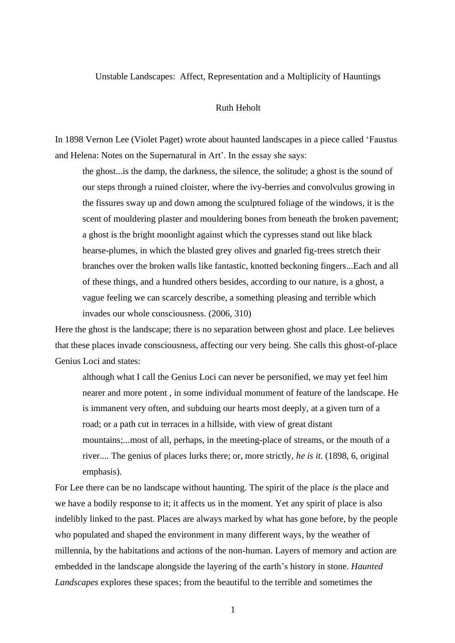## Unstable Landscapes: Affect, Representation and a Multiplicity of Hauntings

# Ruth Heholt

In 1898 Vernon Lee (Violet Paget) wrote about haunted landscapes in a piece called 'Faustus and Helena: Notes on the Supernatural in Art'. In the essay she says:

the ghost...is the damp, the darkness, the silence, the solitude; a ghost is the sound of our steps through a ruined cloister, where the ivy-berries and convolvulus growing in the fissures sway up and down among the sculptured foliage of the windows, it is the scent of mouldering plaster and mouldering bones from beneath the broken pavement; a ghost is the bright moonlight against which the cypresses stand out like black hearse-plumes, in which the blasted grey olives and gnarled fig-trees stretch their branches over the broken walls like fantastic, knotted beckoning fingers...Each and all of these things, and a hundred others besides, according to our nature, is a ghost, a vague feeling we can scarcely describe, a something pleasing and terrible which invades our whole consciousness. (2006, 310)

Here the ghost is the landscape; there is no separation between ghost and place. Lee believes that these places invade consciousness, affecting our very being. She calls this ghost-of-place Genius Loci and states:

although what I call the Genius Loci can never be personified, we may yet feel him nearer and more potent , in some individual monument of feature of the landscape. He is immanent very often, and subduing our hearts most deeply, at a given turn of a road; or a path cut in terraces in a hillside, with view of great distant mountains;...most of all, perhaps, in the meeting-place of streams, or the mouth of a river.... The genius of places lurks there; or, more strictly, *he is it*. (1898, 6, original emphasis).

For Lee there can be no landscape without haunting. The spirit of the place *is* the place and we have a bodily response to it; it affects us in the moment. Yet any spirit of place is also indelibly linked to the past. Places are always marked by what has gone before, by the people who populated and shaped the environment in many different ways, by the weather of millennia, by the habitations and actions of the non-human. Layers of memory and action are embedded in the landscape alongside the layering of the earth's history in stone. *Haunted Landscapes* explores these spaces; from the beautiful to the terrible and sometimes the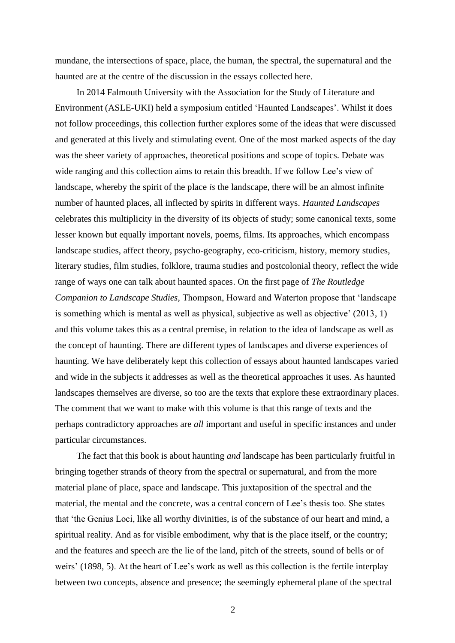mundane, the intersections of space, place, the human, the spectral, the supernatural and the haunted are at the centre of the discussion in the essays collected here.

In 2014 Falmouth University with the Association for the Study of Literature and Environment (ASLE-UKI) held a symposium entitled 'Haunted Landscapes'. Whilst it does not follow proceedings, this collection further explores some of the ideas that were discussed and generated at this lively and stimulating event. One of the most marked aspects of the day was the sheer variety of approaches, theoretical positions and scope of topics. Debate was wide ranging and this collection aims to retain this breadth. If we follow Lee's view of landscape, whereby the spirit of the place *is* the landscape, there will be an almost infinite number of haunted places, all inflected by spirits in different ways. *Haunted Landscapes* celebrates this multiplicity in the diversity of its objects of study; some canonical texts, some lesser known but equally important novels, poems, films. Its approaches, which encompass landscape studies, affect theory, psycho-geography, eco-criticism, history, memory studies, literary studies, film studies, folklore, trauma studies and postcolonial theory, reflect the wide range of ways one can talk about haunted spaces. On the first page of *The Routledge Companion to Landscape Studies,* Thompson, Howard and Waterton propose that 'landscape is something which is mental as well as physical, subjective as well as objective' (2013, 1) and this volume takes this as a central premise, in relation to the idea of landscape as well as the concept of haunting. There are different types of landscapes and diverse experiences of haunting. We have deliberately kept this collection of essays about haunted landscapes varied and wide in the subjects it addresses as well as the theoretical approaches it uses. As haunted landscapes themselves are diverse, so too are the texts that explore these extraordinary places. The comment that we want to make with this volume is that this range of texts and the perhaps contradictory approaches are *all* important and useful in specific instances and under particular circumstances.

The fact that this book is about haunting *and* landscape has been particularly fruitful in bringing together strands of theory from the spectral or supernatural, and from the more material plane of place, space and landscape. This juxtaposition of the spectral and the material, the mental and the concrete, was a central concern of Lee's thesis too. She states that 'the Genius Loci, like all worthy divinities, is of the substance of our heart and mind, a spiritual reality. And as for visible embodiment, why that is the place itself, or the country; and the features and speech are the lie of the land, pitch of the streets, sound of bells or of weirs' (1898, 5). At the heart of Lee's work as well as this collection is the fertile interplay between two concepts, absence and presence; the seemingly ephemeral plane of the spectral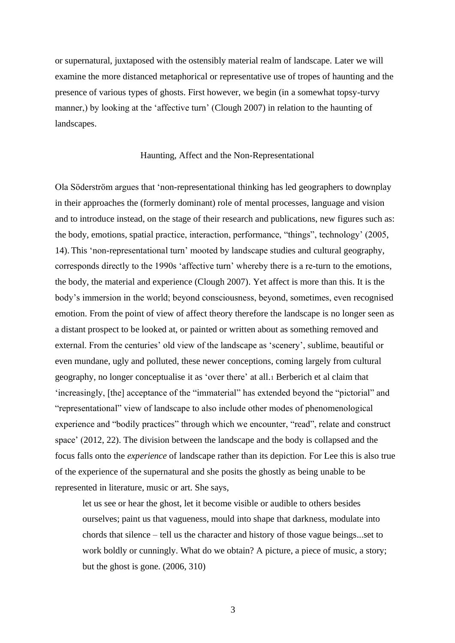or supernatural, juxtaposed with the ostensibly material realm of landscape. Later we will examine the more distanced metaphorical or representative use of tropes of haunting and the presence of various types of ghosts. First however, we begin (in a somewhat topsy-turvy manner,) by looking at the 'affective turn' (Clough 2007) in relation to the haunting of landscapes.

## Haunting, Affect and the Non-Representational

Ola Söderström argues that 'non-representational thinking has led geographers to downplay in their approaches the (formerly dominant) role of mental processes, language and vision and to introduce instead, on the stage of their research and publications, new figures such as: the body, emotions, spatial practice, interaction, performance, "things", technology' (2005, 14). This 'non-representational turn' mooted by landscape studies and cultural geography, corresponds directly to the 1990s 'affective turn' whereby there is a re-turn to the emotions, the body, the material and experience (Clough 2007). Yet affect is more than this. It is the body's immersion in the world; beyond consciousness, beyond, sometimes, even recognised emotion. From the point of view of affect theory therefore the landscape is no longer seen as a distant prospect to be looked at, or painted or written about as something removed and external. From the centuries' old view of the landscape as 'scenery', sublime, beautiful or even mundane, ugly and polluted, these newer conceptions, coming largely from cultural geography, no longer conceptualise it as 'over there' at all.<sup>1</sup> Berberich et al claim that 'increasingly, [the] acceptance of the "immaterial" has extended beyond the "pictorial" and "representational" view of landscape to also include other modes of phenomenological experience and "bodily practices" through which we encounter, "read", relate and construct space' (2012, 22). The division between the landscape and the body is collapsed and the focus falls onto the *experience* of landscape rather than its depiction. For Lee this is also true of the experience of the supernatural and she posits the ghostly as being unable to be represented in literature, music or art. She says,

let us see or hear the ghost, let it become visible or audible to others besides ourselves; paint us that vagueness, mould into shape that darkness, modulate into chords that silence – tell us the character and history of those vague beings...set to work boldly or cunningly. What do we obtain? A picture, a piece of music, a story; but the ghost is gone. (2006, 310)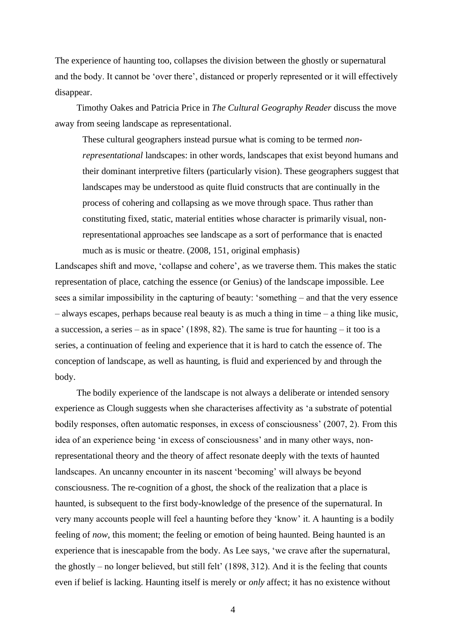The experience of haunting too, collapses the division between the ghostly or supernatural and the body. It cannot be 'over there', distanced or properly represented or it will effectively disappear.

Timothy Oakes and Patricia Price in *The Cultural Geography Reader* discuss the move away from seeing landscape as representational.

These cultural geographers instead pursue what is coming to be termed *nonrepresentational* landscapes: in other words, landscapes that exist beyond humans and their dominant interpretive filters (particularly vision). These geographers suggest that landscapes may be understood as quite fluid constructs that are continually in the process of cohering and collapsing as we move through space. Thus rather than constituting fixed, static, material entities whose character is primarily visual, nonrepresentational approaches see landscape as a sort of performance that is enacted much as is music or theatre. (2008, 151, original emphasis)

Landscapes shift and move, 'collapse and cohere', as we traverse them. This makes the static representation of place, catching the essence (or Genius) of the landscape impossible. Lee sees a similar impossibility in the capturing of beauty: 'something – and that the very essence – always escapes, perhaps because real beauty is as much a thing in time – a thing like music, a succession, a series – as in space' (1898, 82). The same is true for haunting – it too is a series, a continuation of feeling and experience that it is hard to catch the essence of. The conception of landscape, as well as haunting, is fluid and experienced by and through the body.

The bodily experience of the landscape is not always a deliberate or intended sensory experience as Clough suggests when she characterises affectivity as 'a substrate of potential bodily responses, often automatic responses, in excess of consciousness' (2007, 2). From this idea of an experience being 'in excess of consciousness' and in many other ways, nonrepresentational theory and the theory of affect resonate deeply with the texts of haunted landscapes. An uncanny encounter in its nascent 'becoming' will always be beyond consciousness. The re-cognition of a ghost, the shock of the realization that a place is haunted, is subsequent to the first body-knowledge of the presence of the supernatural. In very many accounts people will feel a haunting before they 'know' it. A haunting is a bodily feeling of *now*, this moment; the feeling or emotion of being haunted. Being haunted is an experience that is inescapable from the body. As Lee says, 'we crave after the supernatural, the ghostly – no longer believed, but still felt' (1898, 312). And it is the feeling that counts even if belief is lacking. Haunting itself is merely or *only* affect; it has no existence without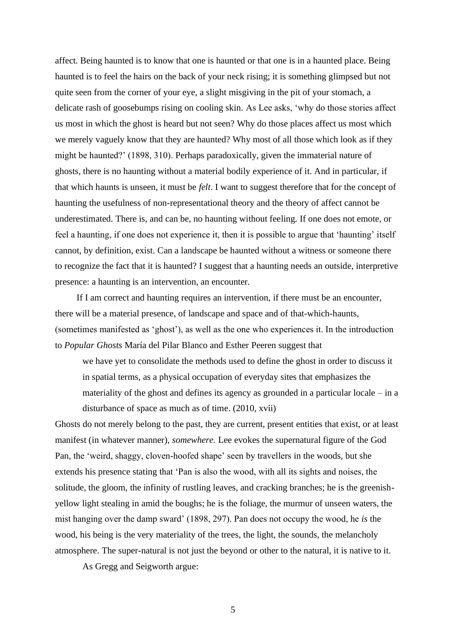affect. Being haunted is to know that one is haunted or that one is in a haunted place. Being haunted is to feel the hairs on the back of your neck rising; it is something glimpsed but not quite seen from the corner of your eye, a slight misgiving in the pit of your stomach, a delicate rash of goosebumps rising on cooling skin. As Lee asks, 'why do those stories affect us most in which the ghost is heard but not seen? Why do those places affect us most which we merely vaguely know that they are haunted? Why most of all those which look as if they might be haunted?' (1898, 310). Perhaps paradoxically, given the immaterial nature of ghosts, there is no haunting without a material bodily experience of it. And in particular, if that which haunts is unseen, it must be *felt*. I want to suggest therefore that for the concept of haunting the usefulness of non-representational theory and the theory of affect cannot be underestimated. There is, and can be, no haunting without feeling*.* If one does not emote, or feel a haunting, if one does not experience it, then it is possible to argue that 'haunting' itself cannot, by definition, exist. Can a landscape be haunted without a witness or someone there to recognize the fact that it is haunted? I suggest that a haunting needs an outside, interpretive presence: a haunting is an intervention, an encounter.

If I am correct and haunting requires an intervention, if there must be an encounter, there will be a material presence, of landscape and space and of that-which-haunts, (sometimes manifested as 'ghost'), as well as the one who experiences it. In the introduction to *Popular Ghosts* María del Pilar Blanco and Esther Peeren suggest that

we have yet to consolidate the methods used to define the ghost in order to discuss it in spatial terms, as a physical occupation of everyday sites that emphasizes the materiality of the ghost and defines its agency as grounded in a particular locale – in a disturbance of space as much as of time. (2010, xvii)

Ghosts do not merely belong to the past, they are current, present entities that exist, or at least manifest (in whatever manner), *somewhere.* Lee evokes the supernatural figure of the God Pan, the 'weird, shaggy, cloven-hoofed shape' seen by travellers in the woods, but she extends his presence stating that 'Pan is also the wood, with all its sights and noises, the solitude, the gloom, the infinity of rustling leaves, and cracking branches; he is the greenishyellow light stealing in amid the boughs; he is the foliage, the murmur of unseen waters, the mist hanging over the damp sward' (1898, 297). Pan does not occupy the wood, he *is* the wood, his being is the very materiality of the trees, the light, the sounds, the melancholy atmosphere. The super-natural is not just the beyond or other to the natural, it is native to it.

As Gregg and Seigworth argue: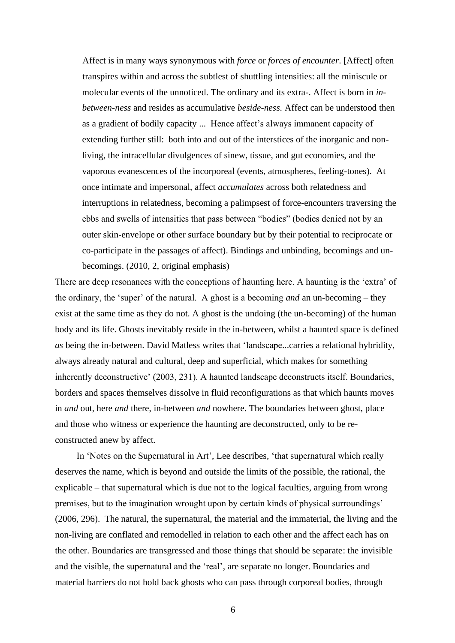Affect is in many ways synonymous with *force* or *forces of encounter*. [Affect] often transpires within and across the subtlest of shuttling intensities: all the miniscule or molecular events of the unnoticed. The ordinary and its extra-. Affect is born in *inbetween-ness* and resides as accumulative *beside-ness.* Affect can be understood then as a gradient of bodily capacity ... Hence affect's always immanent capacity of extending further still: both into and out of the interstices of the inorganic and nonliving, the intracellular divulgences of sinew, tissue, and gut economies, and the vaporous evanescences of the incorporeal (events, atmospheres, feeling-tones). At once intimate and impersonal, affect *accumulates* across both relatedness and interruptions in relatedness, becoming a palimpsest of force-encounters traversing the ebbs and swells of intensities that pass between "bodies" (bodies denied not by an outer skin-envelope or other surface boundary but by their potential to reciprocate or co-participate in the passages of affect). Bindings and unbinding, becomings and unbecomings. (2010, 2, original emphasis)

There are deep resonances with the conceptions of haunting here. A haunting is the 'extra' of the ordinary, the 'super' of the natural. A ghost is a becoming *and* an un-becoming – they exist at the same time as they do not. A ghost is the undoing (the un-becoming) of the human body and its life. Ghosts inevitably reside in the in-between, whilst a haunted space is defined *as* being the in-between. David Matless writes that 'landscape...carries a relational hybridity, always already natural and cultural, deep and superficial, which makes for something inherently deconstructive' (2003, 231). A haunted landscape deconstructs itself. Boundaries, borders and spaces themselves dissolve in fluid reconfigurations as that which haunts moves in *and* out, here *and* there, in-between *and* nowhere. The boundaries between ghost, place and those who witness or experience the haunting are deconstructed, only to be reconstructed anew by affect.

In 'Notes on the Supernatural in Art', Lee describes, 'that supernatural which really deserves the name, which is beyond and outside the limits of the possible, the rational, the explicable – that supernatural which is due not to the logical faculties, arguing from wrong premises, but to the imagination wrought upon by certain kinds of physical surroundings' (2006, 296). The natural, the supernatural, the material and the immaterial, the living and the non-living are conflated and remodelled in relation to each other and the affect each has on the other. Boundaries are transgressed and those things that should be separate: the invisible and the visible, the supernatural and the 'real', are separate no longer. Boundaries and material barriers do not hold back ghosts who can pass through corporeal bodies, through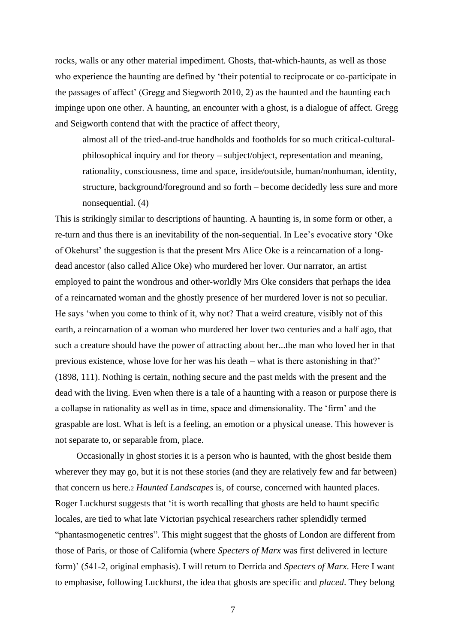rocks, walls or any other material impediment. Ghosts, that-which-haunts, as well as those who experience the haunting are defined by 'their potential to reciprocate or co-participate in the passages of affect' (Gregg and Siegworth 2010, 2) as the haunted and the haunting each impinge upon one other. A haunting, an encounter with a ghost, is a dialogue of affect. Gregg and Seigworth contend that with the practice of affect theory,

almost all of the tried-and-true handholds and footholds for so much critical-culturalphilosophical inquiry and for theory – subject/object, representation and meaning, rationality, consciousness, time and space, inside/outside, human/nonhuman, identity, structure, background/foreground and so forth – become decidedly less sure and more nonsequential. (4)

This is strikingly similar to descriptions of haunting. A haunting is, in some form or other, a re-turn and thus there is an inevitability of the non-sequential. In Lee's evocative story 'Oke of Okehurst' the suggestion is that the present Mrs Alice Oke is a reincarnation of a longdead ancestor (also called Alice Oke) who murdered her lover. Our narrator, an artist employed to paint the wondrous and other-worldly Mrs Oke considers that perhaps the idea of a reincarnated woman and the ghostly presence of her murdered lover is not so peculiar. He says 'when you come to think of it, why not? That a weird creature, visibly not of this earth, a reincarnation of a woman who murdered her lover two centuries and a half ago, that such a creature should have the power of attracting about her...the man who loved her in that previous existence, whose love for her was his death – what is there astonishing in that?' (1898, 111). Nothing is certain, nothing secure and the past melds with the present and the dead with the living. Even when there is a tale of a haunting with a reason or purpose there is a collapse in rationality as well as in time, space and dimensionality. The 'firm' and the graspable are lost. What is left is a feeling, an emotion or a physical unease. This however is not separate to, or separable from, place.

Occasionally in ghost stories it is a person who is haunted, with the ghost beside them wherever they may go, but it is not these stories (and they are relatively few and far between) that concern us here.<sup>2</sup> *Haunted Landscapes* is, of course, concerned with haunted places. Roger Luckhurst suggests that 'it is worth recalling that ghosts are held to haunt specific locales, are tied to what late Victorian psychical researchers rather splendidly termed "phantasmogenetic centres". This might suggest that the ghosts of London are different from those of Paris, or those of California (where *Specters of Marx* was first delivered in lecture form)' (541-2, original emphasis). I will return to Derrida and *Specters of Marx*. Here I want to emphasise, following Luckhurst, the idea that ghosts are specific and *placed*. They belong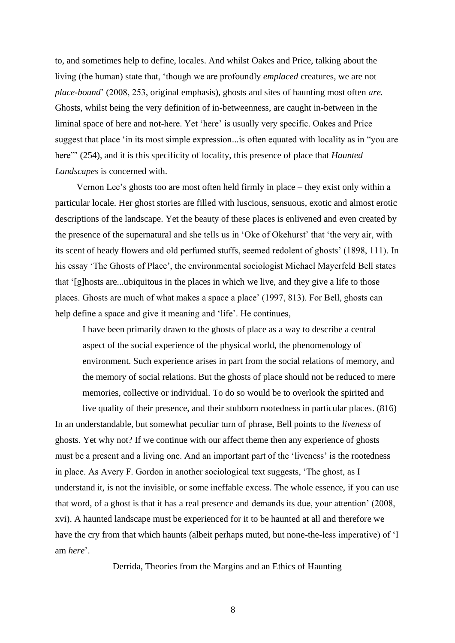to, and sometimes help to define, locales. And whilst Oakes and Price, talking about the living (the human) state that, 'though we are profoundly *emplaced* creatures, we are not *place-bound*' (2008, 253, original emphasis), ghosts and sites of haunting most often *are.*  Ghosts, whilst being the very definition of in-betweenness, are caught in-between in the liminal space of here and not-here. Yet 'here' is usually very specific. Oakes and Price suggest that place 'in its most simple expression...is often equated with locality as in "you are here"<sup>'</sup> (254), and it is this specificity of locality, this presence of place that *Haunted Landscapes* is concerned with.

Vernon Lee's ghosts too are most often held firmly in place – they exist only within a particular locale. Her ghost stories are filled with luscious, sensuous, exotic and almost erotic descriptions of the landscape. Yet the beauty of these places is enlivened and even created by the presence of the supernatural and she tells us in 'Oke of Okehurst' that 'the very air, with its scent of heady flowers and old perfumed stuffs, seemed redolent of ghosts' (1898, 111). In his essay 'The Ghosts of Place', the environmental sociologist Michael Mayerfeld Bell states that '[g]hosts are...ubiquitous in the places in which we live, and they give a life to those places. Ghosts are much of what makes a space a place' (1997, 813). For Bell, ghosts can help define a space and give it meaning and 'life'. He continues,

I have been primarily drawn to the ghosts of place as a way to describe a central aspect of the social experience of the physical world, the phenomenology of environment. Such experience arises in part from the social relations of memory, and the memory of social relations. But the ghosts of place should not be reduced to mere memories, collective or individual. To do so would be to overlook the spirited and

live quality of their presence, and their stubborn rootedness in particular places. (816) In an understandable, but somewhat peculiar turn of phrase, Bell points to the *liveness* of ghosts. Yet why not? If we continue with our affect theme then any experience of ghosts must be a present and a living one. And an important part of the 'liveness' is the rootedness in place. As Avery F. Gordon in another sociological text suggests, 'The ghost, as I understand it, is not the invisible, or some ineffable excess. The whole essence, if you can use that word, of a ghost is that it has a real presence and demands its due, your attention' (2008, xvi). A haunted landscape must be experienced for it to be haunted at all and therefore we have the cry from that which haunts (albeit perhaps muted, but none-the-less imperative) of 'I am *here*'.

Derrida, Theories from the Margins and an Ethics of Haunting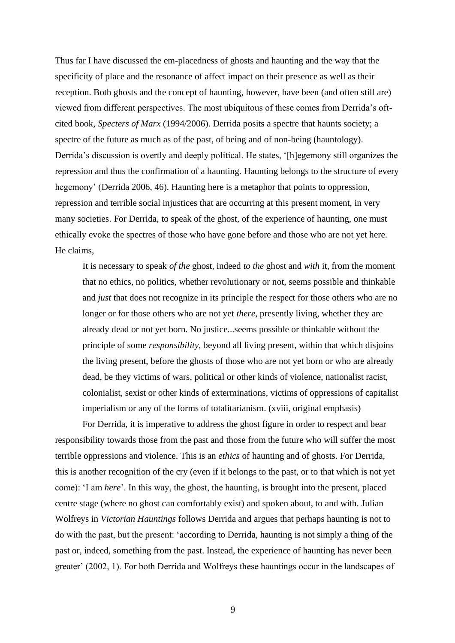Thus far I have discussed the em-placedness of ghosts and haunting and the way that the specificity of place and the resonance of affect impact on their presence as well as their reception. Both ghosts and the concept of haunting, however, have been (and often still are) viewed from different perspectives. The most ubiquitous of these comes from Derrida's oftcited book, *Specters of Marx* (1994/2006). Derrida posits a spectre that haunts society; a spectre of the future as much as of the past, of being and of non-being (hauntology). Derrida's discussion is overtly and deeply political. He states, '[h]egemony still organizes the repression and thus the confirmation of a haunting. Haunting belongs to the structure of every hegemony' (Derrida 2006, 46). Haunting here is a metaphor that points to oppression, repression and terrible social injustices that are occurring at this present moment, in very many societies. For Derrida, to speak of the ghost, of the experience of haunting, one must ethically evoke the spectres of those who have gone before and those who are not yet here. He claims,

It is necessary to speak *of the* ghost, indeed *to the* ghost and *with* it, from the moment that no ethics, no politics, whether revolutionary or not, seems possible and thinkable and *just* that does not recognize in its principle the respect for those others who are no longer or for those others who are not yet *there*, presently living, whether they are already dead or not yet born. No justice...seems possible or thinkable without the principle of some *responsibility*, beyond all living present, within that which disjoins the living present, before the ghosts of those who are not yet born or who are already dead, be they victims of wars, political or other kinds of violence, nationalist racist, colonialist, sexist or other kinds of exterminations, victims of oppressions of capitalist imperialism or any of the forms of totalitarianism. (xviii, original emphasis)

For Derrida, it is imperative to address the ghost figure in order to respect and bear responsibility towards those from the past and those from the future who will suffer the most terrible oppressions and violence. This is an *ethics* of haunting and of ghosts. For Derrida, this is another recognition of the cry (even if it belongs to the past, or to that which is not yet come): 'I am *here*'. In this way, the ghost, the haunting, is brought into the present, placed centre stage (where no ghost can comfortably exist) and spoken about, to and with. Julian Wolfreys in *Victorian Hauntings* follows Derrida and argues that perhaps haunting is not to do with the past, but the present: 'according to Derrida, haunting is not simply a thing of the past or, indeed, something from the past. Instead, the experience of haunting has never been greater' (2002, 1). For both Derrida and Wolfreys these hauntings occur in the landscapes of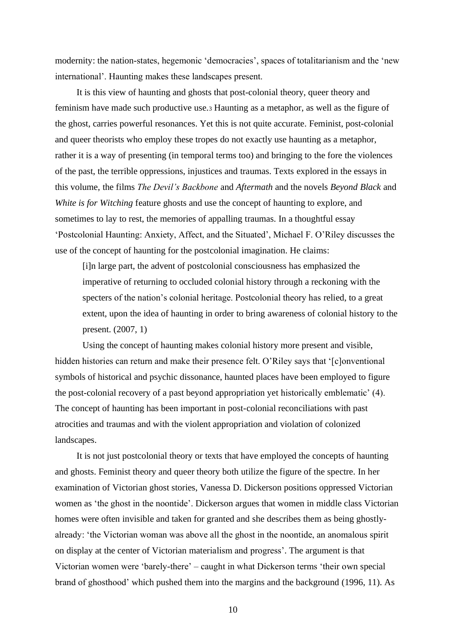modernity: the nation-states, hegemonic 'democracies', spaces of totalitarianism and the 'new international'. Haunting makes these landscapes present.

It is this view of haunting and ghosts that post-colonial theory, queer theory and feminism have made such productive use.<sup>3</sup> Haunting as a metaphor, as well as the figure of the ghost, carries powerful resonances. Yet this is not quite accurate. Feminist, post-colonial and queer theorists who employ these tropes do not exactly use haunting as a metaphor, rather it is a way of presenting (in temporal terms too) and bringing to the fore the violences of the past, the terrible oppressions, injustices and traumas. Texts explored in the essays in this volume, the films *The Devil's Backbone* and *Aftermath* and the novels *Beyond Black* and *White is for Witching* feature ghosts and use the concept of haunting to explore, and sometimes to lay to rest, the memories of appalling traumas. In a thoughtful essay 'Postcolonial Haunting: Anxiety, Affect, and the Situated', Michael F. O'Riley discusses the use of the concept of haunting for the postcolonial imagination. He claims:

[i]n large part, the advent of postcolonial consciousness has emphasized the imperative of returning to occluded colonial history through a reckoning with the specters of the nation's colonial heritage. Postcolonial theory has relied, to a great extent, upon the idea of haunting in order to bring awareness of colonial history to the present. (2007, 1)

Using the concept of haunting makes colonial history more present and visible, hidden histories can return and make their presence felt. O'Riley says that '[c]onventional symbols of historical and psychic dissonance, haunted places have been employed to figure the post-colonial recovery of a past beyond appropriation yet historically emblematic' (4). The concept of haunting has been important in post-colonial reconciliations with past atrocities and traumas and with the violent appropriation and violation of colonized landscapes.

It is not just postcolonial theory or texts that have employed the concepts of haunting and ghosts. Feminist theory and queer theory both utilize the figure of the spectre. In her examination of Victorian ghost stories, Vanessa D. Dickerson positions oppressed Victorian women as 'the ghost in the noontide'. Dickerson argues that women in middle class Victorian homes were often invisible and taken for granted and she describes them as being ghostlyalready: 'the Victorian woman was above all the ghost in the noontide, an anomalous spirit on display at the center of Victorian materialism and progress'. The argument is that Victorian women were 'barely-there' – caught in what Dickerson terms 'their own special brand of ghosthood' which pushed them into the margins and the background (1996, 11). As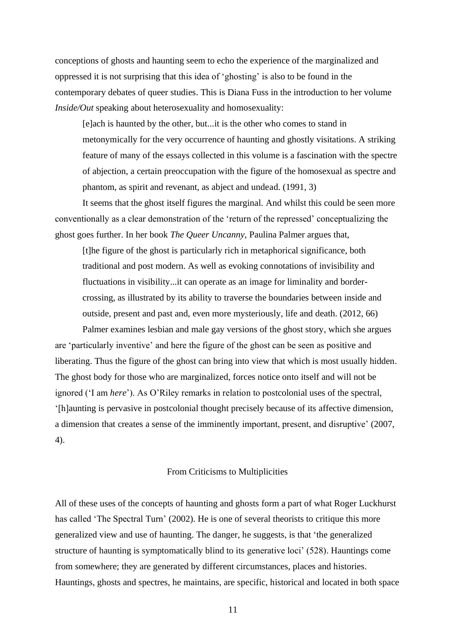conceptions of ghosts and haunting seem to echo the experience of the marginalized and oppressed it is not surprising that this idea of 'ghosting' is also to be found in the contemporary debates of queer studies. This is Diana Fuss in the introduction to her volume *Inside/Out* speaking about heterosexuality and homosexuality:

[e]ach is haunted by the other, but...it is the other who comes to stand in metonymically for the very occurrence of haunting and ghostly visitations. A striking feature of many of the essays collected in this volume is a fascination with the spectre of abjection, a certain preoccupation with the figure of the homosexual as spectre and phantom, as spirit and revenant, as abject and undead. (1991, 3)

It seems that the ghost itself figures the marginal. And whilst this could be seen more conventionally as a clear demonstration of the 'return of the repressed' conceptualizing the ghost goes further. In her book *The Queer Uncanny*, Paulina Palmer argues that,

[t]he figure of the ghost is particularly rich in metaphorical significance, both traditional and post modern. As well as evoking connotations of invisibility and fluctuations in visibility...it can operate as an image for liminality and bordercrossing, as illustrated by its ability to traverse the boundaries between inside and outside, present and past and, even more mysteriously, life and death. (2012, 66)

Palmer examines lesbian and male gay versions of the ghost story, which she argues are 'particularly inventive' and here the figure of the ghost can be seen as positive and liberating. Thus the figure of the ghost can bring into view that which is most usually hidden. The ghost body for those who are marginalized, forces notice onto itself and will not be ignored ('I am *here*'). As O'Riley remarks in relation to postcolonial uses of the spectral, '[h]aunting is pervasive in postcolonial thought precisely because of its affective dimension, a dimension that creates a sense of the imminently important, present, and disruptive' (2007, 4).

## From Criticisms to Multiplicities

All of these uses of the concepts of haunting and ghosts form a part of what Roger Luckhurst has called 'The Spectral Turn' (2002). He is one of several theorists to critique this more generalized view and use of haunting. The danger, he suggests, is that 'the generalized structure of haunting is symptomatically blind to its generative loci' (528). Hauntings come from somewhere; they are generated by different circumstances, places and histories. Hauntings, ghosts and spectres, he maintains, are specific, historical and located in both space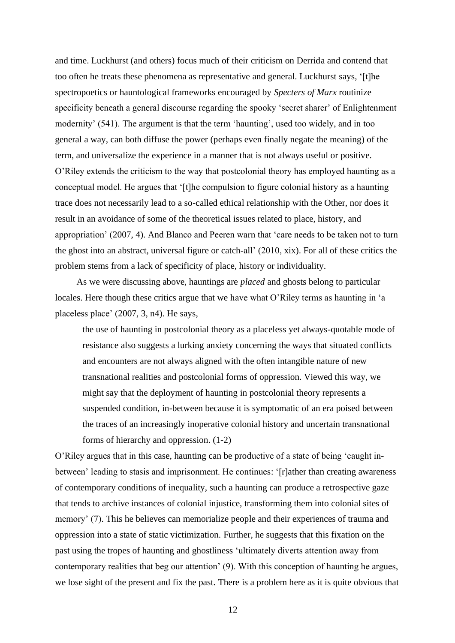and time. Luckhurst (and others) focus much of their criticism on Derrida and contend that too often he treats these phenomena as representative and general. Luckhurst says, '[t]he spectropoetics or hauntological frameworks encouraged by *Specters of Marx* routinize specificity beneath a general discourse regarding the spooky 'secret sharer' of Enlightenment modernity' (541). The argument is that the term 'haunting', used too widely, and in too general a way, can both diffuse the power (perhaps even finally negate the meaning) of the term, and universalize the experience in a manner that is not always useful or positive. O'Riley extends the criticism to the way that postcolonial theory has employed haunting as a conceptual model. He argues that '[t]he compulsion to figure colonial history as a haunting trace does not necessarily lead to a so-called ethical relationship with the Other, nor does it result in an avoidance of some of the theoretical issues related to place, history, and appropriation' (2007, 4). And Blanco and Peeren warn that 'care needs to be taken not to turn the ghost into an abstract, universal figure or catch-all' (2010, xix). For all of these critics the problem stems from a lack of specificity of place, history or individuality.

As we were discussing above, hauntings are *placed* and ghosts belong to particular locales. Here though these critics argue that we have what O'Riley terms as haunting in 'a placeless place' (2007, 3, n4). He says,

the use of haunting in postcolonial theory as a placeless yet always-quotable mode of resistance also suggests a lurking anxiety concerning the ways that situated conflicts and encounters are not always aligned with the often intangible nature of new transnational realities and postcolonial forms of oppression. Viewed this way, we might say that the deployment of haunting in postcolonial theory represents a suspended condition, in-between because it is symptomatic of an era poised between the traces of an increasingly inoperative colonial history and uncertain transnational forms of hierarchy and oppression. (1-2)

O'Riley argues that in this case, haunting can be productive of a state of being 'caught inbetween' leading to stasis and imprisonment. He continues: '[r]ather than creating awareness of contemporary conditions of inequality, such a haunting can produce a retrospective gaze that tends to archive instances of colonial injustice, transforming them into colonial sites of memory' (7). This he believes can memorialize people and their experiences of trauma and oppression into a state of static victimization. Further, he suggests that this fixation on the past using the tropes of haunting and ghostliness 'ultimately diverts attention away from contemporary realities that beg our attention' (9). With this conception of haunting he argues, we lose sight of the present and fix the past. There is a problem here as it is quite obvious that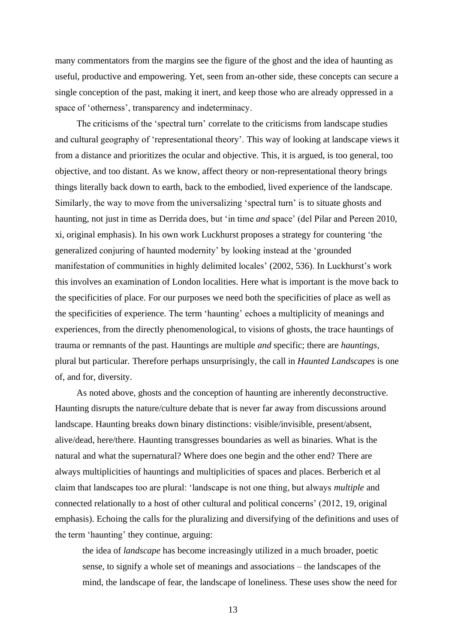many commentators from the margins see the figure of the ghost and the idea of haunting as useful, productive and empowering. Yet, seen from an-other side, these concepts can secure a single conception of the past, making it inert, and keep those who are already oppressed in a space of 'otherness', transparency and indeterminacy.

The criticisms of the 'spectral turn' correlate to the criticisms from landscape studies and cultural geography of 'representational theory'. This way of looking at landscape views it from a distance and prioritizes the ocular and objective. This, it is argued, is too general, too objective, and too distant. As we know, affect theory or non-representational theory brings things literally back down to earth, back to the embodied, lived experience of the landscape. Similarly, the way to move from the universalizing 'spectral turn' is to situate ghosts and haunting, not just in time as Derrida does, but 'in time *and* space' (del Pilar and Pereen 2010, xi, original emphasis). In his own work Luckhurst proposes a strategy for countering 'the generalized conjuring of haunted modernity' by looking instead at the 'grounded manifestation of communities in highly delimited locales' (2002, 536). In Luckhurst's work this involves an examination of London localities. Here what is important is the move back to the specificities of place. For our purposes we need both the specificities of place as well as the specificities of experience. The term 'haunting' echoes a multiplicity of meanings and experiences, from the directly phenomenological, to visions of ghosts, the trace hauntings of trauma or remnants of the past. Hauntings are multiple *and* specific; there are *hauntings,*  plural but particular. Therefore perhaps unsurprisingly, the call in *Haunted Landscapes* is one of, and for, diversity.

As noted above, ghosts and the conception of haunting are inherently deconstructive. Haunting disrupts the nature/culture debate that is never far away from discussions around landscape. Haunting breaks down binary distinctions: visible/invisible, present/absent, alive/dead, here/there. Haunting transgresses boundaries as well as binaries. What is the natural and what the supernatural? Where does one begin and the other end? There are always multiplicities of hauntings and multiplicities of spaces and places. Berberich et al claim that landscapes too are plural: 'landscape is not one thing, but always *multiple* and connected relationally to a host of other cultural and political concerns' (2012, 19, original emphasis). Echoing the calls for the pluralizing and diversifying of the definitions and uses of the term 'haunting' they continue, arguing:

the idea of *landscape* has become increasingly utilized in a much broader, poetic sense, to signify a whole set of meanings and associations – the landscapes of the mind, the landscape of fear, the landscape of loneliness. These uses show the need for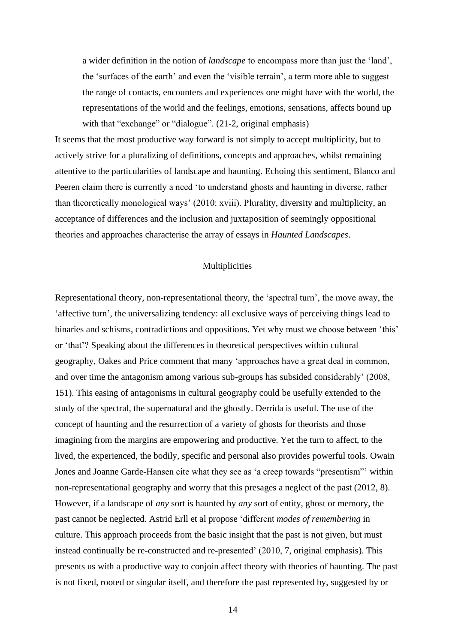a wider definition in the notion of *landscape* to encompass more than just the 'land', the 'surfaces of the earth' and even the 'visible terrain', a term more able to suggest the range of contacts, encounters and experiences one might have with the world, the representations of the world and the feelings, emotions, sensations, affects bound up with that "exchange" or "dialogue". (21-2, original emphasis)

It seems that the most productive way forward is not simply to accept multiplicity, but to actively strive for a pluralizing of definitions, concepts and approaches, whilst remaining attentive to the particularities of landscape and haunting. Echoing this sentiment*,* Blanco and Peeren claim there is currently a need 'to understand ghosts and haunting in diverse, rather than theoretically monological ways' (2010: xviii). Plurality, diversity and multiplicity, an acceptance of differences and the inclusion and juxtaposition of seemingly oppositional theories and approaches characterise the array of essays in *Haunted Landscapes*.

# Multiplicities

Representational theory, non-representational theory, the 'spectral turn', the move away, the 'affective turn', the universalizing tendency: all exclusive ways of perceiving things lead to binaries and schisms, contradictions and oppositions. Yet why must we choose between 'this' or 'that'? Speaking about the differences in theoretical perspectives within cultural geography, Oakes and Price comment that many 'approaches have a great deal in common, and over time the antagonism among various sub-groups has subsided considerably' (2008, 151). This easing of antagonisms in cultural geography could be usefully extended to the study of the spectral, the supernatural and the ghostly. Derrida is useful. The use of the concept of haunting and the resurrection of a variety of ghosts for theorists and those imagining from the margins are empowering and productive. Yet the turn to affect, to the lived, the experienced, the bodily, specific and personal also provides powerful tools. Owain Jones and Joanne Garde-Hansen cite what they see as 'a creep towards "presentism"' within non-representational geography and worry that this presages a neglect of the past (2012, 8). However, if a landscape of *any* sort is haunted by *any* sort of entity, ghost or memory, the past cannot be neglected. Astrid Erll et al propose 'different *modes of remembering* in culture. This approach proceeds from the basic insight that the past is not given, but must instead continually be re-constructed and re-presented' (2010, 7, original emphasis). This presents us with a productive way to conjoin affect theory with theories of haunting. The past is not fixed, rooted or singular itself, and therefore the past represented by, suggested by or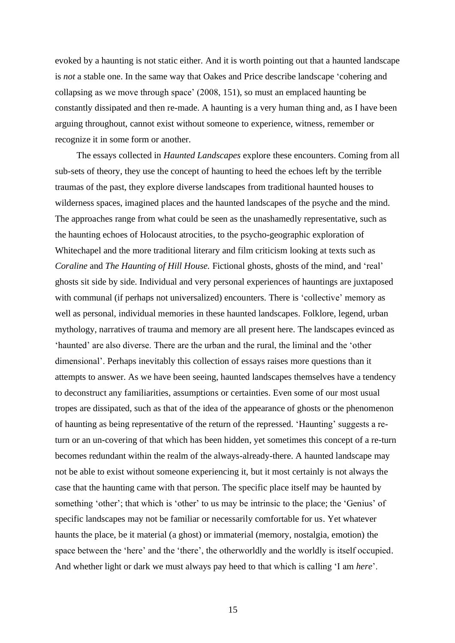evoked by a haunting is not static either. And it is worth pointing out that a haunted landscape is *not* a stable one. In the same way that Oakes and Price describe landscape 'cohering and collapsing as we move through space' (2008, 151), so must an emplaced haunting be constantly dissipated and then re-made. A haunting is a very human thing and, as I have been arguing throughout, cannot exist without someone to experience, witness, remember or recognize it in some form or another.

The essays collected in *Haunted Landscapes* explore these encounters. Coming from all sub-sets of theory, they use the concept of haunting to heed the echoes left by the terrible traumas of the past, they explore diverse landscapes from traditional haunted houses to wilderness spaces, imagined places and the haunted landscapes of the psyche and the mind. The approaches range from what could be seen as the unashamedly representative, such as the haunting echoes of Holocaust atrocities, to the psycho-geographic exploration of Whitechapel and the more traditional literary and film criticism looking at texts such as *Coraline* and *The Haunting of Hill House*. Fictional ghosts, ghosts of the mind, and 'real' ghosts sit side by side. Individual and very personal experiences of hauntings are juxtaposed with communal (if perhaps not universalized) encounters. There is 'collective' memory as well as personal, individual memories in these haunted landscapes. Folklore, legend, urban mythology, narratives of trauma and memory are all present here. The landscapes evinced as 'haunted' are also diverse. There are the urban and the rural, the liminal and the 'other dimensional'. Perhaps inevitably this collection of essays raises more questions than it attempts to answer. As we have been seeing, haunted landscapes themselves have a tendency to deconstruct any familiarities, assumptions or certainties. Even some of our most usual tropes are dissipated, such as that of the idea of the appearance of ghosts or the phenomenon of haunting as being representative of the return of the repressed. 'Haunting' suggests a return or an un-covering of that which has been hidden, yet sometimes this concept of a re-turn becomes redundant within the realm of the always-already-there. A haunted landscape may not be able to exist without someone experiencing it, but it most certainly is not always the case that the haunting came with that person. The specific place itself may be haunted by something 'other'; that which is 'other' to us may be intrinsic to the place; the 'Genius' of specific landscapes may not be familiar or necessarily comfortable for us. Yet whatever haunts the place, be it material (a ghost) or immaterial (memory, nostalgia, emotion) the space between the 'here' and the 'there', the otherworldly and the worldly is itself occupied. And whether light or dark we must always pay heed to that which is calling 'I am *here*'.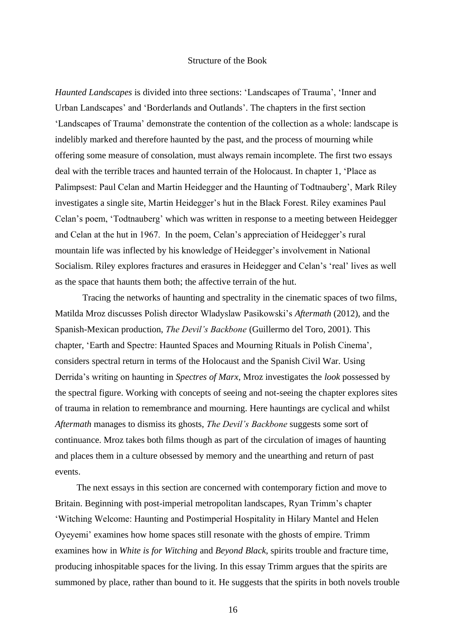#### Structure of the Book

*Haunted Landscapes* is divided into three sections: 'Landscapes of Trauma', 'Inner and Urban Landscapes' and 'Borderlands and Outlands'. The chapters in the first section 'Landscapes of Trauma' demonstrate the contention of the collection as a whole: landscape is indelibly marked and therefore haunted by the past, and the process of mourning while offering some measure of consolation, must always remain incomplete. The first two essays deal with the terrible traces and haunted terrain of the Holocaust. In chapter 1, 'Place as Palimpsest: Paul Celan and Martin Heidegger and the Haunting of Todtnauberg', Mark Riley investigates a single site, Martin Heidegger's hut in the Black Forest. Riley examines Paul Celan's poem, 'Todtnauberg' which was written in response to a meeting between Heidegger and Celan at the hut in 1967. In the poem, Celan's appreciation of Heidegger's rural mountain life was inflected by his knowledge of Heidegger's involvement in National Socialism. Riley explores fractures and erasures in Heidegger and Celan's 'real' lives as well as the space that haunts them both; the affective terrain of the hut.

Tracing the networks of haunting and spectrality in the cinematic spaces of two films, Matilda Mroz discusses Polish director Wladyslaw Pasikowski's *Aftermath* (2012), and the Spanish-Mexican production, *The Devil's Backbone* (Guillermo del Toro, 2001). This chapter, 'Earth and Spectre: Haunted Spaces and Mourning Rituals in Polish Cinema', considers spectral return in terms of the Holocaust and the Spanish Civil War. Using Derrida's writing on haunting in *Spectres of Marx*, Mroz investigates the *look* possessed by the spectral figure. Working with concepts of seeing and not-seeing the chapter explores sites of trauma in relation to remembrance and mourning. Here hauntings are cyclical and whilst *Aftermath* manages to dismiss its ghosts, *The Devil's Backbone* suggests some sort of continuance. Mroz takes both films though as part of the circulation of images of haunting and places them in a culture obsessed by memory and the unearthing and return of past events.

The next essays in this section are concerned with contemporary fiction and move to Britain. Beginning with post-imperial metropolitan landscapes, Ryan Trimm's chapter 'Witching Welcome: Haunting and Postimperial Hospitality in Hilary Mantel and Helen Oyeyemi' examines how home spaces still resonate with the ghosts of empire. Trimm examines how in *White is for Witching* and *Beyond Black*, spirits trouble and fracture time, producing inhospitable spaces for the living. In this essay Trimm argues that the spirits are summoned by place, rather than bound to it. He suggests that the spirits in both novels trouble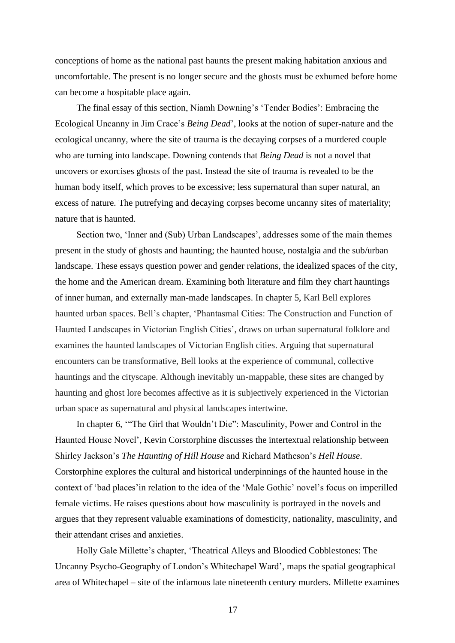conceptions of home as the national past haunts the present making habitation anxious and uncomfortable. The present is no longer secure and the ghosts must be exhumed before home can become a hospitable place again.

The final essay of this section, Niamh Downing's 'Tender Bodies': Embracing the Ecological Uncanny in Jim Crace's *Being Dead*', looks at the notion of super-nature and the ecological uncanny, where the site of trauma is the decaying corpses of a murdered couple who are turning into landscape. Downing contends that *Being Dead* is not a novel that uncovers or exorcises ghosts of the past. Instead the site of trauma is revealed to be the human body itself, which proves to be excessive; less supernatural than super natural, an excess of nature. The putrefying and decaying corpses become uncanny sites of materiality; nature that is haunted.

Section two, 'Inner and (Sub) Urban Landscapes', addresses some of the main themes present in the study of ghosts and haunting; the haunted house, nostalgia and the sub/urban landscape. These essays question power and gender relations, the idealized spaces of the city, the home and the American dream. Examining both literature and film they chart hauntings of inner human, and externally man-made landscapes. In chapter 5, Karl Bell explores haunted urban spaces. Bell's chapter, 'Phantasmal Cities: The Construction and Function of Haunted Landscapes in Victorian English Cities', draws on urban supernatural folklore and examines the haunted landscapes of Victorian English cities. Arguing that supernatural encounters can be transformative, Bell looks at the experience of communal, collective hauntings and the cityscape. Although inevitably un-mappable, these sites are changed by haunting and ghost lore becomes affective as it is subjectively experienced in the Victorian urban space as supernatural and physical landscapes intertwine.

In chapter 6, '"The Girl that Wouldn't Die": Masculinity, Power and Control in the Haunted House Novel', Kevin Corstorphine discusses the intertextual relationship between Shirley Jackson's *The Haunting of Hill House* and Richard Matheson's *Hell House*. Corstorphine explores the cultural and historical underpinnings of the haunted house in the context of 'bad places'in relation to the idea of the 'Male Gothic' novel's focus on imperilled female victims. He raises questions about how masculinity is portrayed in the novels and argues that they represent valuable examinations of domesticity, nationality, masculinity, and their attendant crises and anxieties.

Holly Gale Millette's chapter, 'Theatrical Alleys and Bloodied Cobblestones: The Uncanny Psycho-Geography of London's Whitechapel Ward', maps the spatial geographical area of Whitechapel – site of the infamous late nineteenth century murders. Millette examines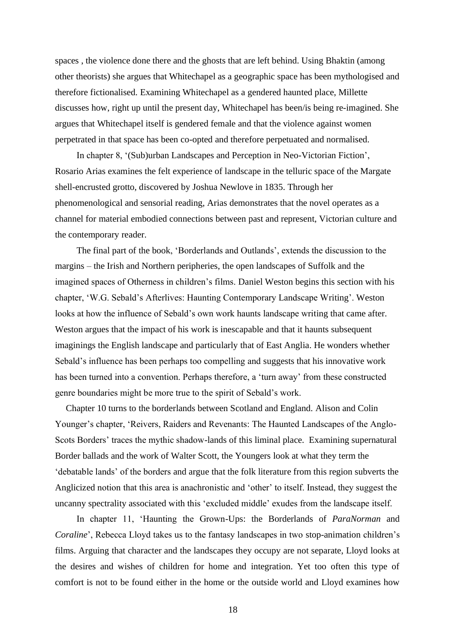spaces , the violence done there and the ghosts that are left behind. Using Bhaktin (among other theorists) she argues that Whitechapel as a geographic space has been mythologised and therefore fictionalised. Examining Whitechapel as a gendered haunted place, Millette discusses how, right up until the present day, Whitechapel has been/is being re-imagined. She argues that Whitechapel itself is gendered female and that the violence against women perpetrated in that space has been co-opted and therefore perpetuated and normalised.

In chapter 8, '(Sub)urban Landscapes and Perception in Neo-Victorian Fiction', Rosario Arias examines the felt experience of landscape in the telluric space of the Margate shell-encrusted grotto, discovered by Joshua Newlove in 1835. Through her phenomenological and sensorial reading, Arias demonstrates that the novel operates as a channel for material embodied connections between past and represent, Victorian culture and the contemporary reader.

The final part of the book, 'Borderlands and Outlands', extends the discussion to the margins – the Irish and Northern peripheries, the open landscapes of Suffolk and the imagined spaces of Otherness in children's films. Daniel Weston begins this section with his chapter, 'W.G. Sebald's Afterlives: Haunting Contemporary Landscape Writing'. Weston looks at how the influence of Sebald's own work haunts landscape writing that came after. Weston argues that the impact of his work is inescapable and that it haunts subsequent imaginings the English landscape and particularly that of East Anglia. He wonders whether Sebald's influence has been perhaps too compelling and suggests that his innovative work has been turned into a convention. Perhaps therefore, a 'turn away' from these constructed genre boundaries might be more true to the spirit of Sebald's work.

Chapter 10 turns to the borderlands between Scotland and England. Alison and Colin Younger's chapter, 'Reivers, Raiders and Revenants: The Haunted Landscapes of the Anglo-Scots Borders' traces the mythic shadow-lands of this liminal place. Examining supernatural Border ballads and the work of Walter Scott, the Youngers look at what they term the 'debatable lands' of the borders and argue that the folk literature from this region subverts the Anglicized notion that this area is anachronistic and 'other' to itself. Instead, they suggest the uncanny spectrality associated with this 'excluded middle' exudes from the landscape itself.

In chapter 11, 'Haunting the Grown-Ups: the Borderlands of *ParaNorman* and *Coraline*', Rebecca Lloyd takes us to the fantasy landscapes in two stop-animation children's films. Arguing that character and the landscapes they occupy are not separate, Lloyd looks at the desires and wishes of children for home and integration. Yet too often this type of comfort is not to be found either in the home or the outside world and Lloyd examines how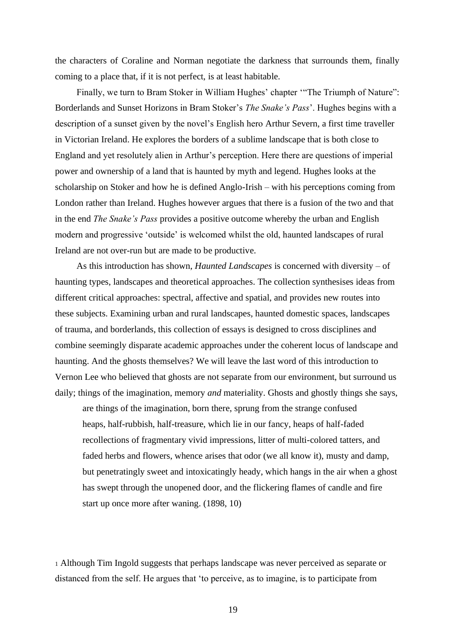the characters of Coraline and Norman negotiate the darkness that surrounds them, finally coming to a place that, if it is not perfect, is at least habitable.

Finally, we turn to Bram Stoker in William Hughes' chapter '"The Triumph of Nature": Borderlands and Sunset Horizons in Bram Stoker's *The Snake's Pass*'. Hughes begins with a description of a sunset given by the novel's English hero Arthur Severn, a first time traveller in Victorian Ireland. He explores the borders of a sublime landscape that is both close to England and yet resolutely alien in Arthur's perception. Here there are questions of imperial power and ownership of a land that is haunted by myth and legend. Hughes looks at the scholarship on Stoker and how he is defined Anglo-Irish – with his perceptions coming from London rather than Ireland. Hughes however argues that there is a fusion of the two and that in the end *The Snake's Pass* provides a positive outcome whereby the urban and English modern and progressive 'outside' is welcomed whilst the old, haunted landscapes of rural Ireland are not over-run but are made to be productive.

As this introduction has shown, *Haunted Landscapes* is concerned with diversity – of haunting types, landscapes and theoretical approaches. The collection synthesises ideas from different critical approaches: spectral, affective and spatial, and provides new routes into these subjects. Examining urban and rural landscapes, haunted domestic spaces, landscapes of trauma, and borderlands, this collection of essays is designed to cross disciplines and combine seemingly disparate academic approaches under the coherent locus of landscape and haunting. And the ghosts themselves? We will leave the last word of this introduction to Vernon Lee who believed that ghosts are not separate from our environment, but surround us daily; things of the imagination, memory *and* materiality. Ghosts and ghostly things she says,

are things of the imagination, born there, sprung from the strange confused heaps, half-rubbish, half-treasure, which lie in our fancy, heaps of half-faded recollections of fragmentary vivid impressions, litter of multi-colored tatters, and faded herbs and flowers, whence arises that odor (we all know it), musty and damp, but penetratingly sweet and intoxicatingly heady, which hangs in the air when a ghost has swept through the unopened door, and the flickering flames of candle and fire start up once more after waning. (1898, 10)

<sup>1</sup> Although Tim Ingold suggests that perhaps landscape was never perceived as separate or distanced from the self. He argues that 'to perceive, as to imagine, is to participate from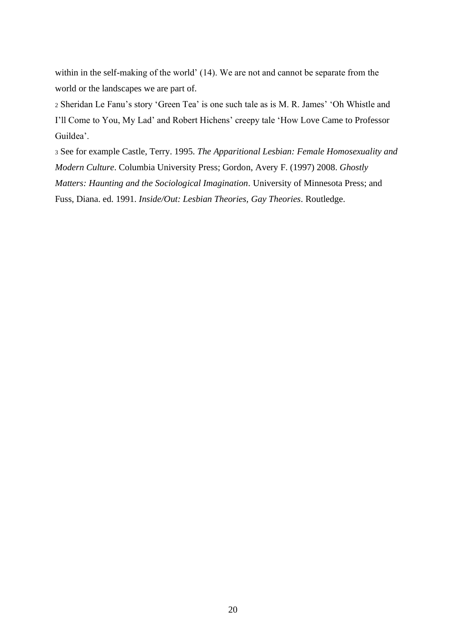within in the self-making of the world' (14). We are not and cannot be separate from the world or the landscapes we are part of.

<sup>2</sup> Sheridan Le Fanu's story 'Green Tea' is one such tale as is M. R. James' 'Oh Whistle and I'll Come to You, My Lad' and Robert Hichens' creepy tale 'How Love Came to Professor Guildea'.

<sup>3</sup> See for example Castle, Terry. 1995. *The Apparitional Lesbian: Female Homosexuality and Modern Culture*. Columbia University Press; Gordon, Avery F. (1997) 2008. *Ghostly Matters: Haunting and the Sociological Imagination.* University of Minnesota Press; and Fuss, Diana. ed. 1991. *Inside/Out: Lesbian Theories, Gay Theories.* Routledge.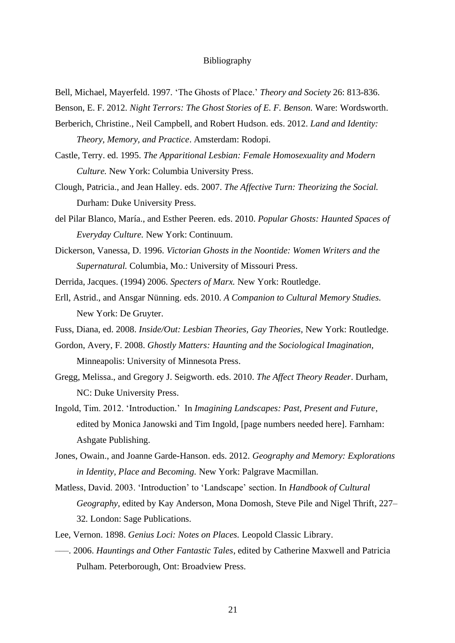#### Bibliography

- Bell, Michael, Mayerfeld. 1997. 'The Ghosts of Place.' *Theory and Society* 26: 813-836.
- Benson, E. F. 2012. *Night Terrors: The Ghost Stories of E. F. Benson.* Ware: Wordsworth.
- Berberich, Christine., Neil Campbell, and Robert Hudson. eds. 2012. *Land and Identity: Theory, Memory, and Practice*. Amsterdam: Rodopi.
- Castle, Terry. ed. 1995. *The Apparitional Lesbian: Female Homosexuality and Modern Culture.* New York: Columbia University Press.
- Clough, Patricia., and Jean Halley. eds. 2007. *The Affective Turn: Theorizing the Social.*  Durham: Duke University Press.
- del Pilar Blanco, María., and Esther Peeren. eds. 2010. *Popular Ghosts: Haunted Spaces of Everyday Culture.* New York: Continuum.
- Dickerson, Vanessa, D. 1996. *Victorian Ghosts in the Noontide: Women Writers and the Supernatural.* Columbia, Mo.: University of Missouri Press.
- Derrida, Jacques. (1994) 2006. *Specters of Marx.* New York: Routledge.
- Erll, Astrid., and Ansgar Nünning. eds. 2010. *A Companion to Cultural Memory Studies.*  New York: De Gruyter.
- Fuss, Diana, ed. 2008. *Inside/Out: Lesbian Theories, Gay Theories,* New York: Routledge.
- Gordon, Avery, F. 2008. *Ghostly Matters: Haunting and the Sociological Imagination,* Minneapolis: University of Minnesota Press.
- Gregg, Melissa., and Gregory J. Seigworth. eds. 2010. *The Affect Theory Reader*. Durham, NC: Duke University Press.
- Ingold, Tim. 2012. 'Introduction.' In *Imagining Landscapes: Past, Present and Future*, edited by Monica Janowski and Tim Ingold, [page numbers needed here]. Farnham: Ashgate Publishing.
- Jones, Owain., and Joanne Garde-Hanson. eds. 2012. *Geography and Memory: Explorations in Identity, Place and Becoming.* New York: Palgrave Macmillan.
- Matless, David. 2003. 'Introduction' to 'Landscape' section. In *Handbook of Cultural Geography*, edited by Kay Anderson, Mona Domosh, Steve Pile and Nigel Thrift, 227– 32*.* London: Sage Publications.
- Lee, Vernon. 1898. *Genius Loci: Notes on Places.* Leopold Classic Library. –––. 2006. *Hauntings and Other Fantastic Tales*, edited by Catherine Maxwell and Patricia Pulham. Peterborough, Ont: Broadview Press.